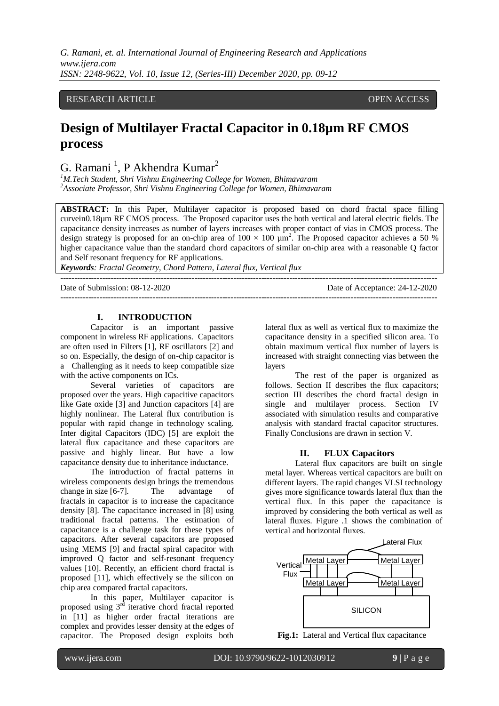*G. Ramani, et. al. International Journal of Engineering Research and Applications www.ijera.com ISSN: 2248-9622, Vol. 10, Issue 12, (Series-III) December 2020, pp. 09-12*

## RESEARCH ARTICLE **CONTRACT ARTICLE** AND A SERVICE OPEN ACCESS OPEN ACCESS

# **Design of Multilayer Fractal Capacitor in 0.18µm RF CMOS process**

G. Ramani<sup>1</sup>, P Akhendra Kumar<sup>2</sup>

*<sup>1</sup>M.Tech Student, Shri Vishnu Engineering College for Women, Bhimavaram <sup>2</sup>Associate Professor, Shri Vishnu Engineering College for Women, Bhimavaram*

**ABSTRACT:** In this Paper, Multilayer capacitor is proposed based on chord fractal space filling curvein0.18µm RF CMOS process. The Proposed capacitor uses the both vertical and lateral electric fields. The capacitance density increases as number of layers increases with proper contact of vias in CMOS process. The design strategy is proposed for an on-chip area of  $100 \times 100 \mu m^2$ . The Proposed capacitor achieves a 50 % higher capacitance value than the standard chord capacitors of similar on-chip area with a reasonable Q factor and Self resonant frequency for RF applications.

---------------------------------------------------------------------------------------------------------------------------------------

---------------------------------------------------------------------------------------------------------------------------------------

*Keywords: Fractal Geometry, Chord Pattern, Lateral flux, Vertical flux* 

Date of Submission: 08-12-2020 Date of Acceptance: 24-12-2020

## **I. INTRODUCTION**

Capacitor is an important passive component in wireless RF applications. Capacitors are often used in Filters [1], RF oscillators [2] and so on. Especially, the design of on-chip capacitor is a Challenging as it needs to keep compatible size with the active components on ICs.

Several varieties of capacitors are proposed over the years. High capacitive capacitors like Gate oxide [3] and Junction capacitors [4] are highly nonlinear. The Lateral flux contribution is popular with rapid change in technology scaling. Inter digital Capacitors (IDC) [5] are exploit the lateral flux capacitance and these capacitors are passive and highly linear. But have a low capacitance density due to inheritance inductance.

The introduction of fractal patterns in wireless components design brings the tremendous change in size [6-7]. The advantage of fractals in capacitor is to increase the capacitance density [8]. The capacitance increased in [8] using traditional fractal patterns. The estimation of capacitance is a challenge task for these types of capacitors. After several capacitors are proposed using MEMS [9] and fractal spiral capacitor with improved Q factor and self-resonant frequency values [10]. Recently, an efficient chord fractal is proposed [11], which effectively se the silicon on chip area compared fractal capacitors.

In this paper, Multilayer capacitor is proposed using  $3<sup>rd</sup>$  iterative chord fractal reported in [11] as higher order fractal iterations are complex and provides lesser density at the edges of capacitor. The Proposed design exploits both

lateral flux as well as vertical flux to maximize the capacitance density in a specified silicon area. To obtain maximum vertical flux number of layers is increased with straight connecting vias between the layers

The rest of the paper is organized as follows. Section II describes the flux capacitors; section III describes the chord fractal design in single and multilayer process. Section IV associated with simulation results and comparative analysis with standard fractal capacitor structures. Finally Conclusions are drawn in section V.

#### **II. FLUX Capacitors**

Lateral flux capacitors are built on single metal layer. Whereas vertical capacitors are built on different layers. The rapid changes VLSI technology gives more significance towards lateral flux than the vertical flux. In this paper the capacitance is improved by considering the both vertical as well as lateral fluxes. Figure .1 shows the combination of vertical and horizontal fluxes.



**Fig.1:** Lateral and Vertical flux capacitance

l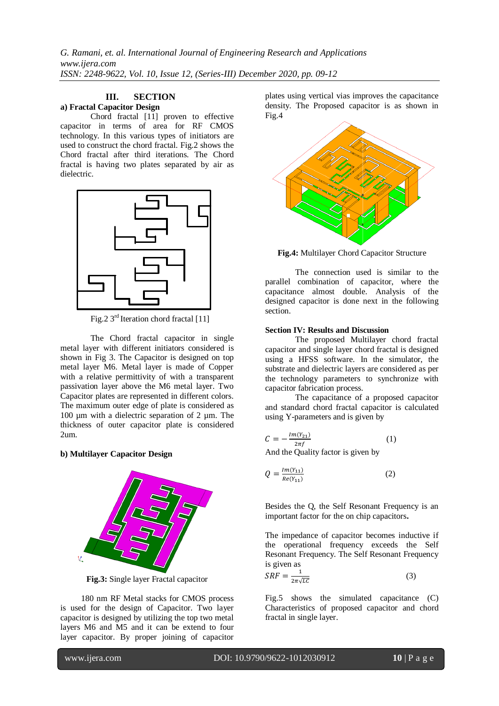*G. Ramani, et. al. International Journal of Engineering Research and Applications www.ijera.com ISSN: 2248-9622, Vol. 10, Issue 12, (Series-III) December 2020, pp. 09-12*

#### **III. SECTION a) Fractal Capacitor Design**

Chord fractal [11] proven to effective capacitor in terms of area for RF CMOS technology. In this various types of initiators are used to construct the chord fractal. Fig.2 shows the Chord fractal after third iterations. The Chord fractal is having two plates separated by air as dielectric.



Fig.2 3<sup>rd</sup> Iteration chord fractal [11]

The Chord fractal capacitor in single metal layer with different initiators considered is shown in Fig 3. The Capacitor is designed on top metal layer M6. Metal layer is made of Copper with a relative permittivity of with a transparent passivation layer above the M6 metal layer. Two Capacitor plates are represented in different colors. The maximum outer edge of plate is considered as 100 µm with a dielectric separation of 2 µm. The thickness of outer capacitor plate is considered 2um.

## **b) Multilayer Capacitor Design**



**Fig.3:** Single layer Fractal capacitor

180 nm RF Metal stacks for CMOS process is used for the design of Capacitor. Two layer capacitor is designed by utilizing the top two metal layers M6 and M5 and it can be extend to four layer capacitor. By proper joining of capacitor

plates using vertical vias improves the capacitance density. The Proposed capacitor is as shown in Fig.4



**Fig.4:** Multilayer Chord Capacitor Structure

The connection used is similar to the parallel combination of capacitor, where the capacitance almost double. Analysis of the designed capacitor is done next in the following section.

#### **Section IV: Results and Discussion**

The proposed Multilayer chord fractal capacitor and single layer chord fractal is designed using a HFSS software. In the simulator, the substrate and dielectric layers are considered as per the technology parameters to synchronize with capacitor fabrication process.

The capacitance of a proposed capacitor and standard chord fractal capacitor is calculated using Y-parameters and is given by

$$
C = -\frac{Im(Y_{21})}{2\pi f}
$$
 (1)  
And the Quality factor is given by

 $Im(V)$ 

$$
Q = \frac{im(r_{11})}{Re(r_{11})}
$$
 (2)

Besides the Q, the Self Resonant Frequency is an important factor for the on chip capacitors**.** 

The impedance of capacitor becomes inductive if the operational frequency exceeds the Self Resonant Frequency. The Self Resonant Frequency is given as

$$
SRF = \frac{1}{2\pi\sqrt{LC}}\tag{3}
$$

Fig.5 shows the simulated capacitance (C) Characteristics of proposed capacitor and chord fractal in single layer.

l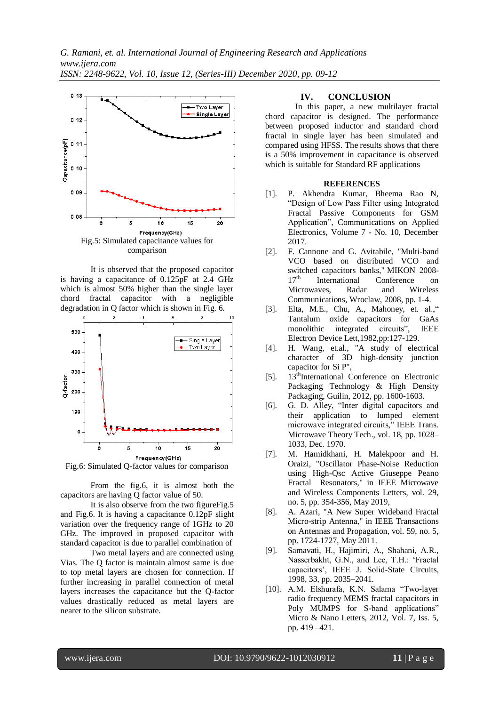

It is observed that the proposed capacitor is having a capacitance of 0.125pF at 2.4 GHz which is almost 50% higher than the single layer chord fractal capacitor with a negligible degradation in Q factor which is shown in Fig. 6.



Fig.6: Simulated Q-factor values for comparison

From the fig.6, it is almost both the capacitors are having Q factor value of 50.

It is also observe from the two figureFig.5 and Fig.6. It is having a capacitance 0.12pF slight variation over the frequency range of 1GHz to 20 GHz. The improved in proposed capacitor with standard capacitor is due to parallel combination of

Two metal layers and are connected using Vias. The Q factor is maintain almost same is due to top metal layers are chosen for connection. If further increasing in parallel connection of metal layers increases the capacitance but the Q-factor values drastically reduced as metal layers are nearer to the silicon substrate.

#### **IV. CONCLUSION**

In this paper, a new multilayer fractal chord capacitor is designed. The performance between proposed inductor and standard chord fractal in single layer has been simulated and compared using HFSS. The results shows that there is a 50% improvement in capacitance is observed which is suitable for Standard RF applications

#### **REFERENCES**

- [1]. P. Akhendra Kumar, Bheema Rao N, "Design of Low Pass Filter using Integrated Fractal Passive Components for GSM Application", Communications on Applied Electronics, Volume 7 - No. 10, December 2017.
- [2]. F. Cannone and G. Avitabile, "Multi-band VCO based on distributed VCO and switched capacitors banks," MIKON 2008-  $17<sup>th</sup>$  International Conference on Microwaves, Radar and Wireless Communications, Wroclaw, 2008, pp. 1-4.
- [3]. Elta, M.E., Chu, A., Mahoney, et. al.," Tantalum oxide capacitors for GaAs monolithic integrated circuits", IEEE Electron Device Lett,1982,pp:127-129.
- [4]. H. Wang, et.al., "A study of electrical character of 3D high-density junction capacitor for Si P",
- [5]. 13<sup>th</sup>International Conference on Electronic Packaging Technology & High Density Packaging, Guilin, 2012, pp. 1600-1603.
- [6]. G. D. Alley, "Inter digital capacitors and their application to lumped element microwave integrated circuits," IEEE Trans. Microwave Theory Tech., vol. 18, pp. 1028– 1033, Dec. 1970.
- [7]. M. Hamidkhani, H. Malekpoor and H. Oraizi, "Oscillator Phase-Noise Reduction using High-Qsc Active Giuseppe Peano Fractal Resonators," in IEEE Microwave and Wireless Components Letters, vol. 29, no. 5, pp. 354-356, May 2019,
- [8]. A. Azari, "A New Super Wideband Fractal Micro-strip Antenna," in IEEE Transactions on Antennas and Propagation, vol. 59, no. 5, pp. 1724-1727, May 2011.
- [9]. Samavati, H., Hajimiri, A., Shahani, A.R., Nasserbakht, G.N., and Lee, T.H.: 'Fractal capacitors', IEEE J. Solid-State Circuits, 1998, 33, pp. 2035–2041.
- [10]. A.M. Elshurafa, K.N. Salama "Two-layer radio frequency MEMS fractal capacitors in Poly MUMPS for S-band applications" Micro & Nano Letters, 2012, Vol. 7, Iss. 5, pp. 419 –421.

l